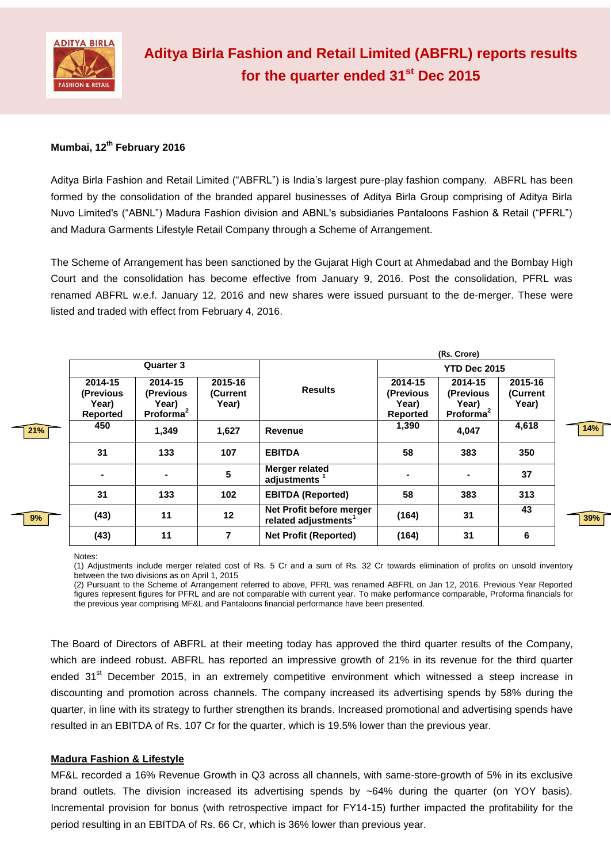

# **Mumbai, 12th February 2016**

Aditya Birla Fashion and Retail Limited ("ABFRL") is India's largest pure-play fashion company. ABFRL has been formed by the consolidation of the branded apparel businesses of Aditya Birla Group comprising of Aditya Birla Nuvo Limited's ("ABNL") Madura Fashion division and ABNL's subsidiaries Pantaloons Fashion & Retail ("PFRL") and Madura Garments Lifestyle Retail Company through a Scheme of Arrangement.

The Scheme of Arrangement has been sanctioned by the Gujarat High Court at Ahmedabad and the Bombay High Court and the consolidation has become effective from January 9, 2016. Post the consolidation, PFRL was renamed ABFRL w.e.f. January 12, 2016 and new shares were issued pursuant to the de-merger. These were listed and traded with effect from February 4, 2016.

|     |                                           |                                                        |                              | (Rs. Crore)                                                  |                                                  |                                                        |                              |     |
|-----|-------------------------------------------|--------------------------------------------------------|------------------------------|--------------------------------------------------------------|--------------------------------------------------|--------------------------------------------------------|------------------------------|-----|
|     | <b>Quarter 3</b>                          |                                                        |                              |                                                              | <b>YTD Dec 2015</b>                              |                                                        |                              |     |
|     | 2014-15<br>(Previous<br>Year)<br>Reported | 2014-15<br>(Previous<br>Year)<br>Proforma <sup>2</sup> | 2015-16<br>(Current<br>Year) | <b>Results</b>                                               | 2014-15<br>(Previous<br>Year)<br><b>Reported</b> | 2014-15<br>(Previous<br>Year)<br>Proforma <sup>2</sup> | 2015-16<br>(Current<br>Year) |     |
| 21% | 450                                       | 1,349                                                  | 1,627                        | Revenue                                                      | 1,390                                            | 4,047                                                  | 4,618                        | 14% |
|     | 31                                        | 133                                                    | 107                          | <b>EBITDA</b>                                                | 58                                               | 383                                                    | 350                          |     |
|     |                                           |                                                        | 5                            | <b>Merger related</b><br>adjustments <sup>1</sup>            |                                                  |                                                        | 37                           |     |
|     | 31                                        | 133                                                    | 102                          | <b>EBITDA (Reported)</b>                                     | 58                                               | 383                                                    | 313                          |     |
| 9%  | (43)                                      | 11                                                     | 12 <sub>2</sub>              | Net Profit before merger<br>related adjustments <sup>1</sup> | (164)                                            | 31                                                     | 43                           | 39% |
|     | (43)                                      | 11                                                     | 7                            | <b>Net Profit (Reported)</b>                                 | (164)                                            | 31                                                     | 6                            |     |

#### Notes:

(1) Adjustments include merger related cost of Rs. 5 Cr and a sum of Rs. 32 Cr towards elimination of profits on unsold inventory between the two divisions as on April 1, 2015

(2) Pursuant to the Scheme of Arrangement referred to above, PFRL was renamed ABFRL on Jan 12, 2016. Previous Year Reported figures represent figures for PFRL and are not comparable with current year. To make performance comparable, Proforma financials for the previous year comprising MF&L and Pantaloons financial performance have been presented.

The Board of Directors of ABFRL at their meeting today has approved the third quarter results of the Company, which are indeed robust. ABFRL has reported an impressive growth of 21% in its revenue for the third quarter ended 31<sup>st</sup> December 2015, in an extremely competitive environment which witnessed a steep increase in discounting and promotion across channels. The company increased its advertising spends by 58% during the quarter, in line with its strategy to further strengthen its brands. Increased promotional and advertising spends have resulted in an EBITDA of Rs. 107 Cr for the quarter, which is 19.5% lower than the previous year.

### **Madura Fashion & Lifestyle**

MF&L recorded a 16% Revenue Growth in Q3 across all channels, with same-store-growth of 5% in its exclusive brand outlets. The division increased its advertising spends by  $~64\%$  during the quarter (on YOY basis). Incremental provision for bonus (with retrospective impact for FY14-15) further impacted the profitability for the period resulting in an EBITDA of Rs. 66 Cr, which is 36% lower than previous year.